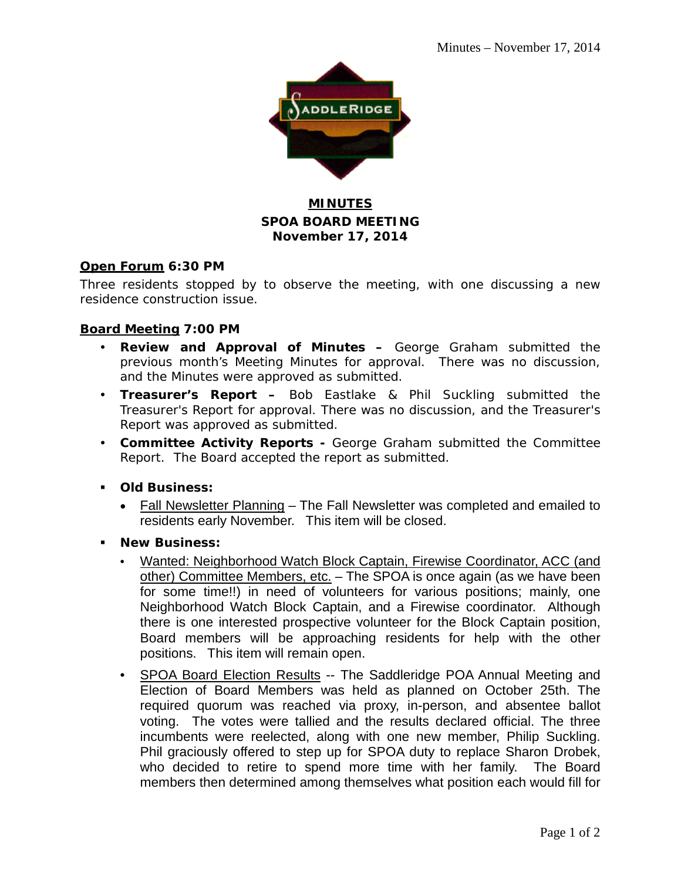

# **MINUTES SPOA BOARD MEETING November 17, 2014**

## **Open Forum 6:30 PM**

Three residents stopped by to observe the meeting, with one discussing a new residence construction issue.

## **Board Meeting 7:00 PM**

- **Review and Approval of Minutes –** George Graham submitted the previous month's Meeting Minutes for approval. There was no discussion, and the Minutes were approved as submitted.
- **Treasurer's Report –** Bob Eastlake & Phil Suckling submitted the Treasurer's Report for approval. There was no discussion, and the Treasurer's Report was approved as submitted.
- **Committee Activity Reports -** George Graham submitted the Committee Report. The Board accepted the report as submitted.
- **Old Business:**
	- Fall Newsletter Planning The Fall Newsletter was completed and emailed to residents early November. This item will be closed.
- **New Business:**
	- Wanted: Neighborhood Watch Block Captain, Firewise Coordinator, ACC (and other) Committee Members, etc. – The SPOA is once again (as we have been for some time!!) in need of volunteers for various positions; mainly, one Neighborhood Watch Block Captain, and a Firewise coordinator. Although there is one interested prospective volunteer for the Block Captain position, Board members will be approaching residents for help with the other positions. This item will remain open.
	- SPOA Board Election Results -- The Saddleridge POA Annual Meeting and Election of Board Members was held as planned on October 25th. The required quorum was reached via proxy, in-person, and absentee ballot voting. The votes were tallied and the results declared official. The three incumbents were reelected, along with one new member, Philip Suckling. Phil graciously offered to step up for SPOA duty to replace Sharon Drobek, who decided to retire to spend more time with her family. The Board members then determined among themselves what position each would fill for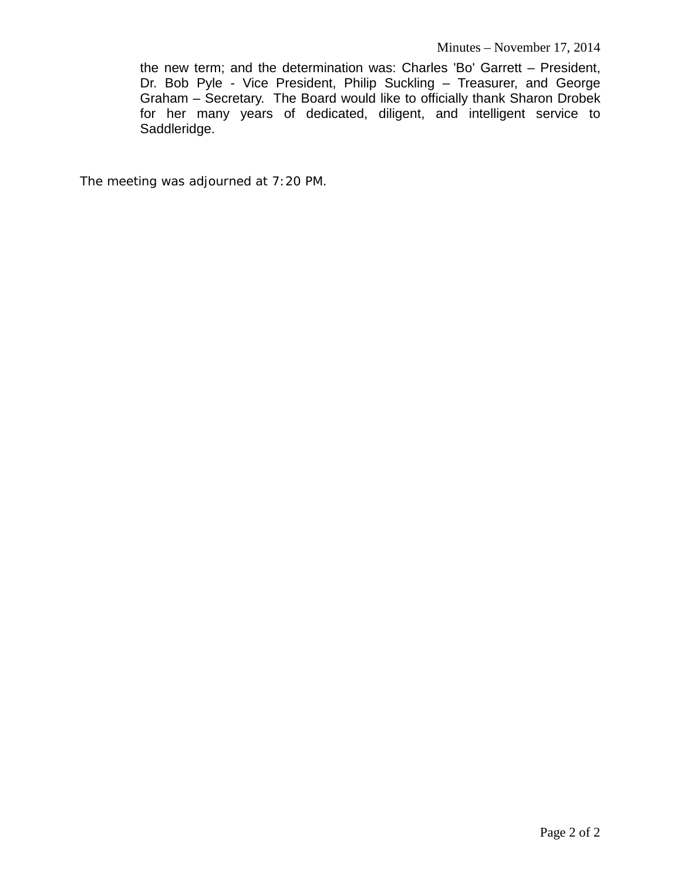the new term; and the determination was: Charles 'Bo' Garrett – President, Dr. Bob Pyle - Vice President, Philip Suckling – Treasurer, and George Graham – Secretary. The Board would like to officially thank Sharon Drobek for her many years of dedicated, diligent, and intelligent service to Saddleridge.

The meeting was adjourned at 7:20 PM.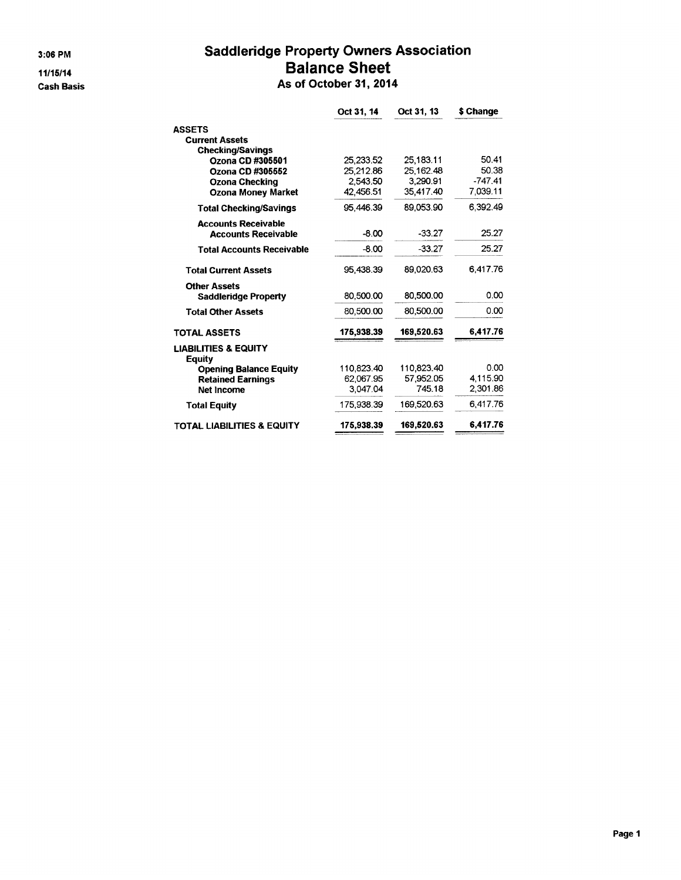3:06 PM

 $11/15/14$ **Cash Basis** 

## **Saddleridge Property Owners Association Balance Sheet** As of October 31, 2014

| Oct 31, 14 | Oct 31, 13              | \$ Change                          |
|------------|-------------------------|------------------------------------|
|            |                         |                                    |
|            |                         |                                    |
|            |                         |                                    |
| 25.233.52  | 25,183.11               | 50.41                              |
| 25.212.86  | 25.162.48               | 50.38                              |
| 2.543.50   |                         | $-747.41$                          |
|            |                         | 7,039.11                           |
| 95.446.39  | 89.053.90               | 6.392.49                           |
|            |                         |                                    |
| $-8.00$    | $-33.27$                | 25.27                              |
| $-8.00$    | $-33.27$                | 25.27                              |
| 95,438.39  | 89,020.63               | 6.417.76                           |
|            |                         |                                    |
| 80,500.00  |                         | 0.00                               |
| 80,500.00  | 80.500.00               | 0.00                               |
| 175,938.39 | 169,520.63              | 6,417.76                           |
|            |                         |                                    |
|            | 110.823.40              | 0.00                               |
| 62.067.95  | 57.952.05               | 4,115.90                           |
| 3.047.04   | 745.18                  | 2,301.86                           |
| 175.938.39 | 169,520.63              | 6.417.76                           |
| 175,938.39 | 169,520.63              | 6,417.76                           |
|            | 42,456.51<br>110.823.40 | 3.290.91<br>35.417.40<br>80.500.00 |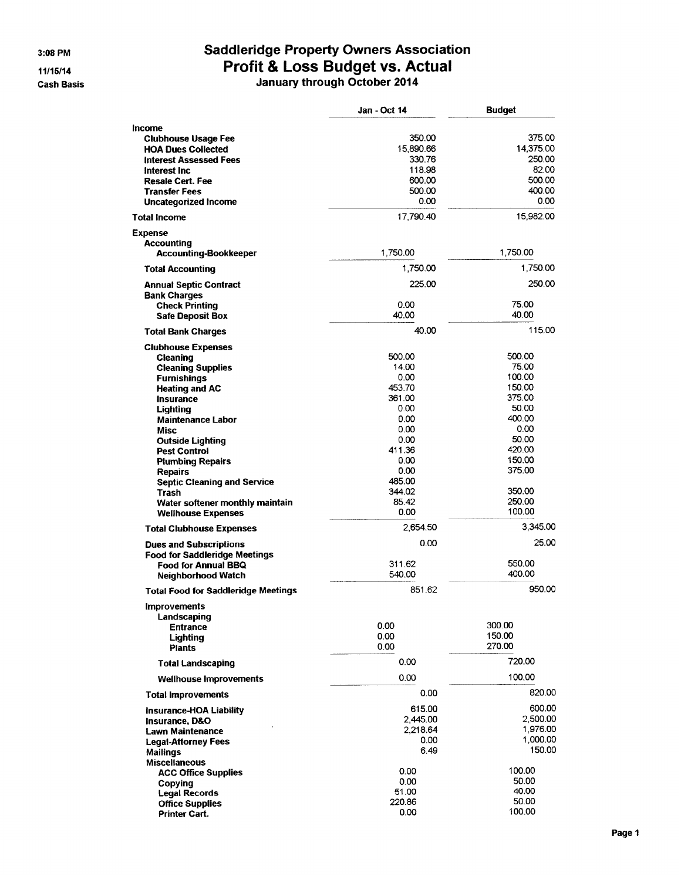$3:08$  PM

11/15/14

**Cash Basis** 

# Saddleridge Property Owners Association<br>Profit & Loss Budget vs. Actual<br>January through October 2014

|                                                  | Jan - Oct 14 | <b>Budget</b>    |
|--------------------------------------------------|--------------|------------------|
| Income                                           |              |                  |
| <b>Clubhouse Usage Fee</b>                       | 350.00       | 375.00           |
| <b>HOA Dues Collected</b>                        | 15,890.66    | 14,375.00        |
| <b>Interest Assessed Fees</b>                    | 330.76       | 250.00           |
| Interest Inc.                                    | 118.98       | 82.00            |
| <b>Resale Cert. Fee</b>                          | 600.00       | 500.00           |
| <b>Transfer Fees</b>                             | 500.00       | 400.00           |
| <b>Uncategorized Income</b>                      | 0.00         | 0.00             |
| <b>Total Income</b>                              | 17,790.40    | 15,982.00        |
| <b>Expense</b>                                   |              |                  |
| <b>Accounting</b>                                |              |                  |
| <b>Accounting-Bookkeeper</b>                     | 1,750.00     | 1,750.00         |
| <b>Total Accounting</b>                          | 1,750.00     | 1,750.00         |
| <b>Annual Septic Contract</b>                    | 225.00       | 250.00           |
| <b>Bank Charges</b>                              | 0.00         | 75.00            |
| <b>Check Printing</b><br><b>Safe Deposit Box</b> | 40.00        | 40.00            |
|                                                  |              | 115.00           |
| <b>Total Bank Charges</b>                        | 40.00        |                  |
| <b>Clubhouse Expenses</b>                        | 500.00       | 500.00           |
| Cleaning                                         | 14.00        | 75.00            |
| <b>Cleaning Supplies</b>                         | 0.00         | 100.00           |
| <b>Furnishings</b><br><b>Heating and AC</b>      | 453.70       | 150.00           |
| <b>Insurance</b>                                 | 361.00       | 375.00           |
| Lighting                                         | 0.00         | 50.00            |
| <b>Maintenance Labor</b>                         | 0.00         | 400.00           |
| Misc                                             | 0.00         | 0.00             |
| <b>Outside Lighting</b>                          | 0.00         | 50.00            |
| <b>Pest Control</b>                              | 411.36       | 420.00           |
| <b>Plumbing Repairs</b>                          | 0.00         | 150.00           |
| <b>Repairs</b>                                   | 0.00         | 375.00           |
| <b>Septic Cleaning and Service</b>               | 485.00       |                  |
| Trash                                            | 344.02       | 350.00           |
| Water softener monthly maintain                  | 85.42        | 250.00           |
| <b>Wellhouse Expenses</b>                        | 0.00         | 100.00           |
| <b>Total Clubhouse Expenses</b>                  | 2,654.50     | 3,345.00         |
| <b>Dues and Subscriptions</b>                    | 0.00         | 25.00            |
| <b>Food for Saddleridge Meetings</b>             |              |                  |
| <b>Food for Annual BBQ</b>                       | 311.62       | 550,00           |
| <b>Neighborhood Watch</b>                        | 540,00       | 400.00           |
| <b>Total Food for Saddleridge Meetings</b>       | 851.62       | 950.00           |
| <b>Improvements</b>                              |              |                  |
| Landscaping                                      |              |                  |
| <b>Entrance</b>                                  | 0.00<br>0.00 | 300.00<br>150.00 |
| Lighting<br><b>Plants</b>                        | 0.00         | 270.00           |
| <b>Total Landscaping</b>                         | 0.00         | 720.00           |
| <b>Wellhouse Improvements</b>                    | 0.00         | 100.00           |
| <b>Total Improvements</b>                        | 0.00         | 820.00           |
|                                                  | 615.00       | 600.00           |
| <b>Insurance-HOA Liability</b>                   | 2,445.00     | 2,500.00         |
| Insurance, D&O                                   | 2,218.64     | 1,976.00         |
| <b>Lawn Maintenance</b>                          | 0.00         | 1,000.00         |
| <b>Legal-Attorney Fees</b>                       | 6.49         | 150.00           |
| <b>Mailings</b>                                  |              |                  |
| <b>Miscellaneous</b>                             | 0.00         | 100.00           |
| <b>ACC Office Supplies</b>                       | 0.00         | 50.00            |
| Copying<br><b>Legal Records</b>                  | 51.00        | 40.00            |
| <b>Office Supplies</b>                           | 220.86       | 50.00            |
| Printer Cart.                                    | 0.00         | 100.00           |
|                                                  |              |                  |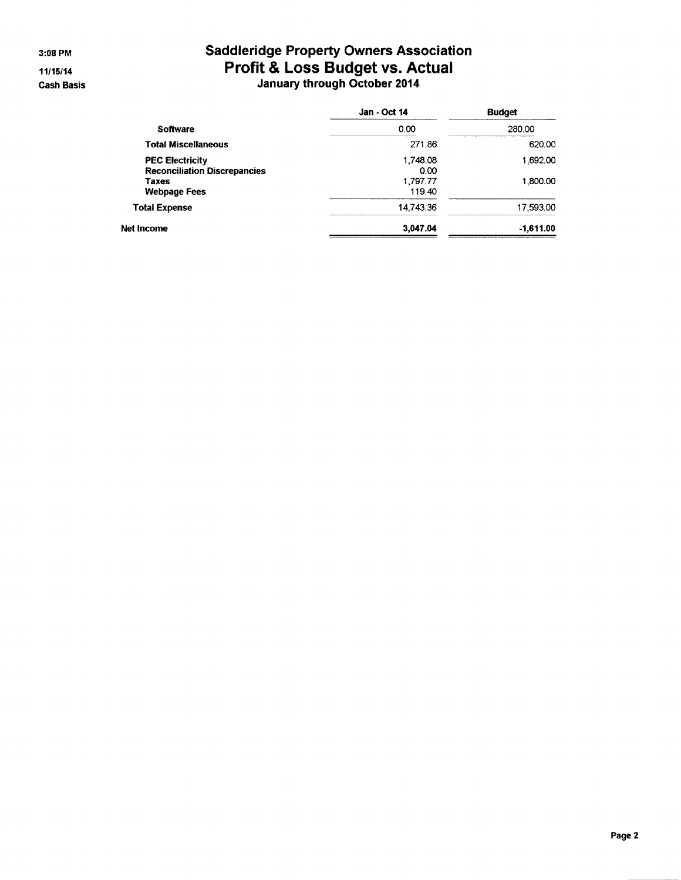3:08 PM

 $11/15/14$ **Cash Basis** 

# Saddleridge Property Owners Association<br>Profit & Loss Budget vs. Actual<br>January through October 2014

|                                     | <b>Jan - Oct 14</b> | <b>Budget</b> |
|-------------------------------------|---------------------|---------------|
| <b>Software</b>                     | 0.00                | 280.00        |
| <b>Total Miscellaneous</b>          | 271.86              | 620.00        |
| <b>PEC Electricity</b>              | 1,748.08            | 1.692.00      |
| <b>Reconciliation Discrepancies</b> | 0.00                |               |
| Taxes                               | 1,797.77            | 1.800.00      |
| <b>Webpage Fees</b>                 | 119.40              |               |
| <b>Total Expense</b>                | 14.743.36           | 17,593.00     |
| Net Income                          | 3.047.04            | $-1,611.00$   |